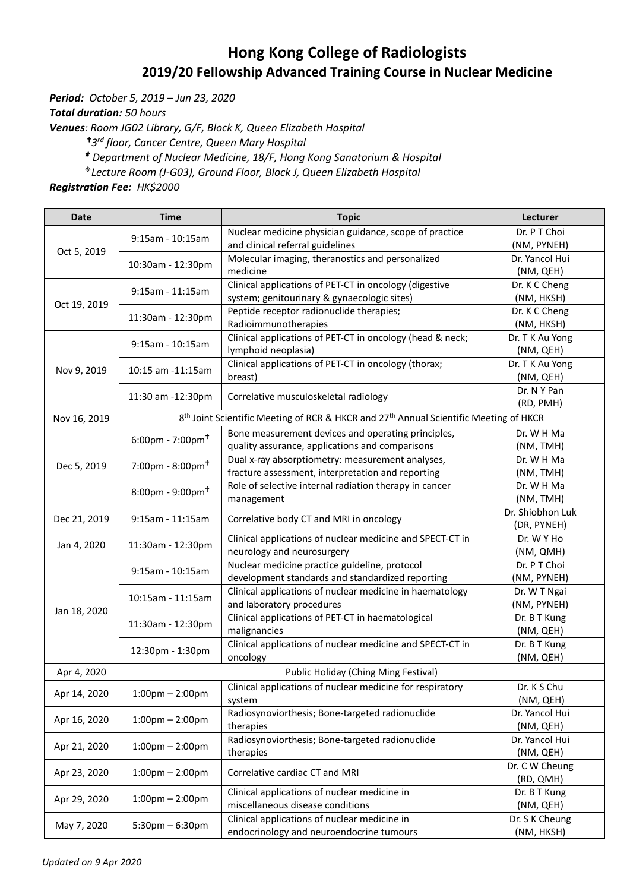## **Hong Kong College of Radiologists 2019/20 Fellowship Advanced Training Course in Nuclear Medicine**

*Period: October 5, 2019 – Jun 23, 2020*

*Total duration: 50 hours*

*Venues: Room JG02 Library, G/F, Block K, Queen Elizabeth Hospital*

*3 rd floor, Cancer Centre, Queen Mary Hospital* 

*Department of Nuclear Medicine, 18/F, [Hong Kong Sanatorium & Hospital](http://www.hksh.com/en/about-us.php)*

*Lecture Room (J-G03), Ground Floor, Block J, Queen Elizabeth Hospital*

*Registration Fee: HK\$2000*

| <b>Date</b>                                                                                                                                             | <b>Time</b>                             | <b>Topic</b>                                                                                                                                                                                                                                                                                                                                                                                                                                                                                                                                                                                                                                                                                                                                                                                                                                                                                                                                                                                                                                                                                                                                                                                                                                                                                                                                                                                                                                                                                                                                                                                                                                                                                                                                                                                                                                                                                                                                                                                                                                                                                                                                          | Lecturer                     |
|---------------------------------------------------------------------------------------------------------------------------------------------------------|-----------------------------------------|-------------------------------------------------------------------------------------------------------------------------------------------------------------------------------------------------------------------------------------------------------------------------------------------------------------------------------------------------------------------------------------------------------------------------------------------------------------------------------------------------------------------------------------------------------------------------------------------------------------------------------------------------------------------------------------------------------------------------------------------------------------------------------------------------------------------------------------------------------------------------------------------------------------------------------------------------------------------------------------------------------------------------------------------------------------------------------------------------------------------------------------------------------------------------------------------------------------------------------------------------------------------------------------------------------------------------------------------------------------------------------------------------------------------------------------------------------------------------------------------------------------------------------------------------------------------------------------------------------------------------------------------------------------------------------------------------------------------------------------------------------------------------------------------------------------------------------------------------------------------------------------------------------------------------------------------------------------------------------------------------------------------------------------------------------------------------------------------------------------------------------------------------------|------------------------------|
|                                                                                                                                                         | $9:15$ am - 10:15am                     | Nuclear medicine physician guidance, scope of practice                                                                                                                                                                                                                                                                                                                                                                                                                                                                                                                                                                                                                                                                                                                                                                                                                                                                                                                                                                                                                                                                                                                                                                                                                                                                                                                                                                                                                                                                                                                                                                                                                                                                                                                                                                                                                                                                                                                                                                                                                                                                                                | Dr. P T Choi                 |
|                                                                                                                                                         |                                         | and clinical referral guidelines                                                                                                                                                                                                                                                                                                                                                                                                                                                                                                                                                                                                                                                                                                                                                                                                                                                                                                                                                                                                                                                                                                                                                                                                                                                                                                                                                                                                                                                                                                                                                                                                                                                                                                                                                                                                                                                                                                                                                                                                                                                                                                                      | (NM, PYNEH)                  |
|                                                                                                                                                         |                                         | Molecular imaging, theranostics and personalized<br>10:30am - 12:30pm<br>medicine<br>Clinical applications of PET-CT in oncology (digestive<br>9:15am - 11:15am<br>system; genitourinary & gynaecologic sites)<br>Peptide receptor radionuclide therapies;<br>Radioimmunotherapies<br>Clinical applications of PET-CT in oncology (head & neck;<br>9:15am - 10:15am<br>lymphoid neoplasia)<br>Clinical applications of PET-CT in oncology (thorax;<br>breast)<br>Correlative musculoskeletal radiology<br>8 <sup>th</sup> Joint Scientific Meeting of RCR & HKCR and 27 <sup>th</sup> Annual Scientific Meeting of HKCR<br>Bone measurement devices and operating principles,<br>$6:00 \text{pm} - 7:00 \text{pm}^{\dagger}$<br>quality assurance, applications and comparisons<br>Dual x-ray absorptiometry: measurement analyses,<br>$7:00$ pm - 8:00pm <sup>+</sup><br>fracture assessment, interpretation and reporting<br>Role of selective internal radiation therapy in cancer<br>$8:00 \text{pm} - 9:00 \text{pm}$ <sup>t</sup><br>management<br>9:15am - 11:15am<br>Correlative body CT and MRI in oncology<br>Clinical applications of nuclear medicine and SPECT-CT in<br>neurology and neurosurgery<br>Nuclear medicine practice guideline, protocol<br>9:15am - 10:15am<br>development standards and standardized reporting<br>Clinical applications of nuclear medicine in haematology<br>and laboratory procedures<br>Clinical applications of PET-CT in haematological<br>malignancies<br>Clinical applications of nuclear medicine and SPECT-CT in<br>12:30pm - 1:30pm<br>oncology<br>Public Holiday (Ching Ming Festival)<br>Clinical applications of nuclear medicine for respiratory<br>$1:00 \text{pm} - 2:00 \text{pm}$<br>system<br>Radiosynoviorthesis; Bone-targeted radionuclide<br>$1:00 \text{pm} - 2:00 \text{pm}$<br>therapies<br>Radiosynoviorthesis; Bone-targeted radionuclide<br>$1:00$ pm - $2:00$ pm<br>therapies<br>Correlative cardiac CT and MRI<br>$1:00 \text{pm} - 2:00 \text{pm}$<br>Clinical applications of nuclear medicine in<br>$1:00 \text{pm} - 2:00 \text{pm}$<br>miscellaneous disease conditions | Dr. Yancol Hui               |
|                                                                                                                                                         |                                         |                                                                                                                                                                                                                                                                                                                                                                                                                                                                                                                                                                                                                                                                                                                                                                                                                                                                                                                                                                                                                                                                                                                                                                                                                                                                                                                                                                                                                                                                                                                                                                                                                                                                                                                                                                                                                                                                                                                                                                                                                                                                                                                                                       | (NM, QEH)                    |
|                                                                                                                                                         |                                         |                                                                                                                                                                                                                                                                                                                                                                                                                                                                                                                                                                                                                                                                                                                                                                                                                                                                                                                                                                                                                                                                                                                                                                                                                                                                                                                                                                                                                                                                                                                                                                                                                                                                                                                                                                                                                                                                                                                                                                                                                                                                                                                                                       | Dr. K C Cheng                |
| Oct 5, 2019<br>Oct 19, 2019<br>Nov 9, 2019<br>Nov 16, 2019<br>Dec 5, 2019<br>Dec 21, 2019<br>Jan 4, 2020<br>Jan 18, 2020<br>Apr 4, 2020<br>Apr 14, 2020 |                                         |                                                                                                                                                                                                                                                                                                                                                                                                                                                                                                                                                                                                                                                                                                                                                                                                                                                                                                                                                                                                                                                                                                                                                                                                                                                                                                                                                                                                                                                                                                                                                                                                                                                                                                                                                                                                                                                                                                                                                                                                                                                                                                                                                       | (NM, HKSH)                   |
|                                                                                                                                                         | 11:30am - 12:30pm                       |                                                                                                                                                                                                                                                                                                                                                                                                                                                                                                                                                                                                                                                                                                                                                                                                                                                                                                                                                                                                                                                                                                                                                                                                                                                                                                                                                                                                                                                                                                                                                                                                                                                                                                                                                                                                                                                                                                                                                                                                                                                                                                                                                       | Dr. K C Cheng                |
|                                                                                                                                                         |                                         |                                                                                                                                                                                                                                                                                                                                                                                                                                                                                                                                                                                                                                                                                                                                                                                                                                                                                                                                                                                                                                                                                                                                                                                                                                                                                                                                                                                                                                                                                                                                                                                                                                                                                                                                                                                                                                                                                                                                                                                                                                                                                                                                                       | (NM, HKSH)                   |
|                                                                                                                                                         |                                         |                                                                                                                                                                                                                                                                                                                                                                                                                                                                                                                                                                                                                                                                                                                                                                                                                                                                                                                                                                                                                                                                                                                                                                                                                                                                                                                                                                                                                                                                                                                                                                                                                                                                                                                                                                                                                                                                                                                                                                                                                                                                                                                                                       | Dr. T K Au Yong<br>(NM, QEH) |
|                                                                                                                                                         | 10:15 am -11:15 am<br>11:30 am -12:30pm |                                                                                                                                                                                                                                                                                                                                                                                                                                                                                                                                                                                                                                                                                                                                                                                                                                                                                                                                                                                                                                                                                                                                                                                                                                                                                                                                                                                                                                                                                                                                                                                                                                                                                                                                                                                                                                                                                                                                                                                                                                                                                                                                                       | Dr. T K Au Yong              |
|                                                                                                                                                         |                                         |                                                                                                                                                                                                                                                                                                                                                                                                                                                                                                                                                                                                                                                                                                                                                                                                                                                                                                                                                                                                                                                                                                                                                                                                                                                                                                                                                                                                                                                                                                                                                                                                                                                                                                                                                                                                                                                                                                                                                                                                                                                                                                                                                       | (NM, QEH)                    |
|                                                                                                                                                         |                                         |                                                                                                                                                                                                                                                                                                                                                                                                                                                                                                                                                                                                                                                                                                                                                                                                                                                                                                                                                                                                                                                                                                                                                                                                                                                                                                                                                                                                                                                                                                                                                                                                                                                                                                                                                                                                                                                                                                                                                                                                                                                                                                                                                       | Dr. N Y Pan                  |
|                                                                                                                                                         |                                         |                                                                                                                                                                                                                                                                                                                                                                                                                                                                                                                                                                                                                                                                                                                                                                                                                                                                                                                                                                                                                                                                                                                                                                                                                                                                                                                                                                                                                                                                                                                                                                                                                                                                                                                                                                                                                                                                                                                                                                                                                                                                                                                                                       | (RD, PMH)                    |
|                                                                                                                                                         |                                         |                                                                                                                                                                                                                                                                                                                                                                                                                                                                                                                                                                                                                                                                                                                                                                                                                                                                                                                                                                                                                                                                                                                                                                                                                                                                                                                                                                                                                                                                                                                                                                                                                                                                                                                                                                                                                                                                                                                                                                                                                                                                                                                                                       |                              |
|                                                                                                                                                         |                                         |                                                                                                                                                                                                                                                                                                                                                                                                                                                                                                                                                                                                                                                                                                                                                                                                                                                                                                                                                                                                                                                                                                                                                                                                                                                                                                                                                                                                                                                                                                                                                                                                                                                                                                                                                                                                                                                                                                                                                                                                                                                                                                                                                       | Dr. W H Ma                   |
|                                                                                                                                                         |                                         |                                                                                                                                                                                                                                                                                                                                                                                                                                                                                                                                                                                                                                                                                                                                                                                                                                                                                                                                                                                                                                                                                                                                                                                                                                                                                                                                                                                                                                                                                                                                                                                                                                                                                                                                                                                                                                                                                                                                                                                                                                                                                                                                                       | (NM, TMH)                    |
|                                                                                                                                                         |                                         |                                                                                                                                                                                                                                                                                                                                                                                                                                                                                                                                                                                                                                                                                                                                                                                                                                                                                                                                                                                                                                                                                                                                                                                                                                                                                                                                                                                                                                                                                                                                                                                                                                                                                                                                                                                                                                                                                                                                                                                                                                                                                                                                                       | Dr. W H Ma                   |
|                                                                                                                                                         |                                         |                                                                                                                                                                                                                                                                                                                                                                                                                                                                                                                                                                                                                                                                                                                                                                                                                                                                                                                                                                                                                                                                                                                                                                                                                                                                                                                                                                                                                                                                                                                                                                                                                                                                                                                                                                                                                                                                                                                                                                                                                                                                                                                                                       | (NM, TMH)                    |
|                                                                                                                                                         |                                         |                                                                                                                                                                                                                                                                                                                                                                                                                                                                                                                                                                                                                                                                                                                                                                                                                                                                                                                                                                                                                                                                                                                                                                                                                                                                                                                                                                                                                                                                                                                                                                                                                                                                                                                                                                                                                                                                                                                                                                                                                                                                                                                                                       | Dr. W H Ma                   |
|                                                                                                                                                         |                                         |                                                                                                                                                                                                                                                                                                                                                                                                                                                                                                                                                                                                                                                                                                                                                                                                                                                                                                                                                                                                                                                                                                                                                                                                                                                                                                                                                                                                                                                                                                                                                                                                                                                                                                                                                                                                                                                                                                                                                                                                                                                                                                                                                       | (NM, TMH)                    |
|                                                                                                                                                         |                                         |                                                                                                                                                                                                                                                                                                                                                                                                                                                                                                                                                                                                                                                                                                                                                                                                                                                                                                                                                                                                                                                                                                                                                                                                                                                                                                                                                                                                                                                                                                                                                                                                                                                                                                                                                                                                                                                                                                                                                                                                                                                                                                                                                       | Dr. Shiobhon Luk             |
|                                                                                                                                                         |                                         |                                                                                                                                                                                                                                                                                                                                                                                                                                                                                                                                                                                                                                                                                                                                                                                                                                                                                                                                                                                                                                                                                                                                                                                                                                                                                                                                                                                                                                                                                                                                                                                                                                                                                                                                                                                                                                                                                                                                                                                                                                                                                                                                                       | (DR, PYNEH)                  |
|                                                                                                                                                         | 11:30am - 12:30pm                       |                                                                                                                                                                                                                                                                                                                                                                                                                                                                                                                                                                                                                                                                                                                                                                                                                                                                                                                                                                                                                                                                                                                                                                                                                                                                                                                                                                                                                                                                                                                                                                                                                                                                                                                                                                                                                                                                                                                                                                                                                                                                                                                                                       | Dr. W Y Ho                   |
|                                                                                                                                                         |                                         |                                                                                                                                                                                                                                                                                                                                                                                                                                                                                                                                                                                                                                                                                                                                                                                                                                                                                                                                                                                                                                                                                                                                                                                                                                                                                                                                                                                                                                                                                                                                                                                                                                                                                                                                                                                                                                                                                                                                                                                                                                                                                                                                                       | (NM, QMH)                    |
|                                                                                                                                                         |                                         |                                                                                                                                                                                                                                                                                                                                                                                                                                                                                                                                                                                                                                                                                                                                                                                                                                                                                                                                                                                                                                                                                                                                                                                                                                                                                                                                                                                                                                                                                                                                                                                                                                                                                                                                                                                                                                                                                                                                                                                                                                                                                                                                                       | Dr. P T Choi                 |
|                                                                                                                                                         |                                         |                                                                                                                                                                                                                                                                                                                                                                                                                                                                                                                                                                                                                                                                                                                                                                                                                                                                                                                                                                                                                                                                                                                                                                                                                                                                                                                                                                                                                                                                                                                                                                                                                                                                                                                                                                                                                                                                                                                                                                                                                                                                                                                                                       | (NM, PYNEH)                  |
|                                                                                                                                                         | 10:15am - 11:15am                       |                                                                                                                                                                                                                                                                                                                                                                                                                                                                                                                                                                                                                                                                                                                                                                                                                                                                                                                                                                                                                                                                                                                                                                                                                                                                                                                                                                                                                                                                                                                                                                                                                                                                                                                                                                                                                                                                                                                                                                                                                                                                                                                                                       | Dr. W T Ngai                 |
|                                                                                                                                                         |                                         |                                                                                                                                                                                                                                                                                                                                                                                                                                                                                                                                                                                                                                                                                                                                                                                                                                                                                                                                                                                                                                                                                                                                                                                                                                                                                                                                                                                                                                                                                                                                                                                                                                                                                                                                                                                                                                                                                                                                                                                                                                                                                                                                                       | (NM, PYNEH)                  |
|                                                                                                                                                         | 11:30am - 12:30pm                       | Clinical applications of nuclear medicine in                                                                                                                                                                                                                                                                                                                                                                                                                                                                                                                                                                                                                                                                                                                                                                                                                                                                                                                                                                                                                                                                                                                                                                                                                                                                                                                                                                                                                                                                                                                                                                                                                                                                                                                                                                                                                                                                                                                                                                                                                                                                                                          | Dr. B T Kung                 |
|                                                                                                                                                         |                                         |                                                                                                                                                                                                                                                                                                                                                                                                                                                                                                                                                                                                                                                                                                                                                                                                                                                                                                                                                                                                                                                                                                                                                                                                                                                                                                                                                                                                                                                                                                                                                                                                                                                                                                                                                                                                                                                                                                                                                                                                                                                                                                                                                       | (NM, QEH)                    |
|                                                                                                                                                         |                                         |                                                                                                                                                                                                                                                                                                                                                                                                                                                                                                                                                                                                                                                                                                                                                                                                                                                                                                                                                                                                                                                                                                                                                                                                                                                                                                                                                                                                                                                                                                                                                                                                                                                                                                                                                                                                                                                                                                                                                                                                                                                                                                                                                       | Dr. B T Kung                 |
|                                                                                                                                                         |                                         |                                                                                                                                                                                                                                                                                                                                                                                                                                                                                                                                                                                                                                                                                                                                                                                                                                                                                                                                                                                                                                                                                                                                                                                                                                                                                                                                                                                                                                                                                                                                                                                                                                                                                                                                                                                                                                                                                                                                                                                                                                                                                                                                                       | (NM, QEH)                    |
|                                                                                                                                                         |                                         |                                                                                                                                                                                                                                                                                                                                                                                                                                                                                                                                                                                                                                                                                                                                                                                                                                                                                                                                                                                                                                                                                                                                                                                                                                                                                                                                                                                                                                                                                                                                                                                                                                                                                                                                                                                                                                                                                                                                                                                                                                                                                                                                                       |                              |
|                                                                                                                                                         |                                         |                                                                                                                                                                                                                                                                                                                                                                                                                                                                                                                                                                                                                                                                                                                                                                                                                                                                                                                                                                                                                                                                                                                                                                                                                                                                                                                                                                                                                                                                                                                                                                                                                                                                                                                                                                                                                                                                                                                                                                                                                                                                                                                                                       | Dr. K S Chu                  |
|                                                                                                                                                         |                                         |                                                                                                                                                                                                                                                                                                                                                                                                                                                                                                                                                                                                                                                                                                                                                                                                                                                                                                                                                                                                                                                                                                                                                                                                                                                                                                                                                                                                                                                                                                                                                                                                                                                                                                                                                                                                                                                                                                                                                                                                                                                                                                                                                       | (NM, QEH)                    |
| Apr 16, 2020                                                                                                                                            |                                         |                                                                                                                                                                                                                                                                                                                                                                                                                                                                                                                                                                                                                                                                                                                                                                                                                                                                                                                                                                                                                                                                                                                                                                                                                                                                                                                                                                                                                                                                                                                                                                                                                                                                                                                                                                                                                                                                                                                                                                                                                                                                                                                                                       | Dr. Yancol Hui<br>(NM, QEH)  |
|                                                                                                                                                         |                                         |                                                                                                                                                                                                                                                                                                                                                                                                                                                                                                                                                                                                                                                                                                                                                                                                                                                                                                                                                                                                                                                                                                                                                                                                                                                                                                                                                                                                                                                                                                                                                                                                                                                                                                                                                                                                                                                                                                                                                                                                                                                                                                                                                       | Dr. Yancol Hui               |
| Apr 21, 2020                                                                                                                                            |                                         |                                                                                                                                                                                                                                                                                                                                                                                                                                                                                                                                                                                                                                                                                                                                                                                                                                                                                                                                                                                                                                                                                                                                                                                                                                                                                                                                                                                                                                                                                                                                                                                                                                                                                                                                                                                                                                                                                                                                                                                                                                                                                                                                                       | (NM, QEH)                    |
|                                                                                                                                                         |                                         |                                                                                                                                                                                                                                                                                                                                                                                                                                                                                                                                                                                                                                                                                                                                                                                                                                                                                                                                                                                                                                                                                                                                                                                                                                                                                                                                                                                                                                                                                                                                                                                                                                                                                                                                                                                                                                                                                                                                                                                                                                                                                                                                                       | Dr. C W Cheung               |
| Apr 23, 2020                                                                                                                                            |                                         |                                                                                                                                                                                                                                                                                                                                                                                                                                                                                                                                                                                                                                                                                                                                                                                                                                                                                                                                                                                                                                                                                                                                                                                                                                                                                                                                                                                                                                                                                                                                                                                                                                                                                                                                                                                                                                                                                                                                                                                                                                                                                                                                                       | (RD, QMH)                    |
|                                                                                                                                                         |                                         |                                                                                                                                                                                                                                                                                                                                                                                                                                                                                                                                                                                                                                                                                                                                                                                                                                                                                                                                                                                                                                                                                                                                                                                                                                                                                                                                                                                                                                                                                                                                                                                                                                                                                                                                                                                                                                                                                                                                                                                                                                                                                                                                                       | Dr. B T Kung                 |
| Apr 29, 2020                                                                                                                                            |                                         |                                                                                                                                                                                                                                                                                                                                                                                                                                                                                                                                                                                                                                                                                                                                                                                                                                                                                                                                                                                                                                                                                                                                                                                                                                                                                                                                                                                                                                                                                                                                                                                                                                                                                                                                                                                                                                                                                                                                                                                                                                                                                                                                                       | (NM, QEH)                    |
| May 7, 2020                                                                                                                                             | $5:30 \text{pm} - 6:30 \text{pm}$       |                                                                                                                                                                                                                                                                                                                                                                                                                                                                                                                                                                                                                                                                                                                                                                                                                                                                                                                                                                                                                                                                                                                                                                                                                                                                                                                                                                                                                                                                                                                                                                                                                                                                                                                                                                                                                                                                                                                                                                                                                                                                                                                                                       | Dr. S K Cheung               |
|                                                                                                                                                         |                                         | endocrinology and neuroendocrine tumours                                                                                                                                                                                                                                                                                                                                                                                                                                                                                                                                                                                                                                                                                                                                                                                                                                                                                                                                                                                                                                                                                                                                                                                                                                                                                                                                                                                                                                                                                                                                                                                                                                                                                                                                                                                                                                                                                                                                                                                                                                                                                                              | (NM, HKSH)                   |